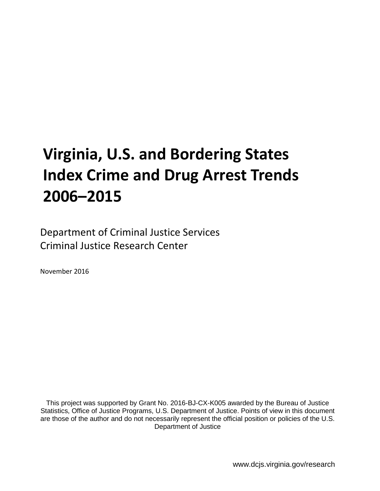# **Virginia, U.S. and Bordering States Index Crime and Drug Arrest Trends 2006–2015**

Department of Criminal Justice Services Criminal Justice Research Center

November 2016

This project was supported by Grant No. 2016-BJ-CX-K005 awarded by the Bureau of Justice Statistics, Office of Justice Programs, U.S. Department of Justice. Points of view in this document are those of the author and do not necessarily represent the official position or policies of the U.S. Department of Justice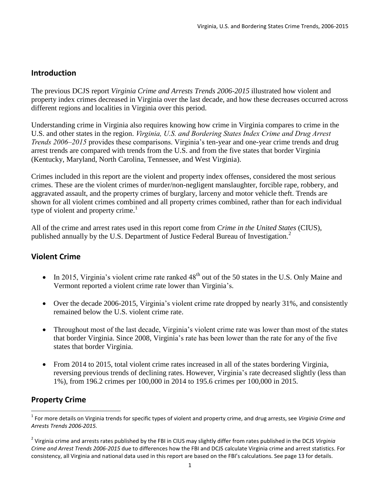#### **Introduction**

The previous DCJS report *Virginia Crime and Arrests Trends 2006-2015* illustrated how violent and property index crimes decreased in Virginia over the last decade, and how these decreases occurred across different regions and localities in Virginia over this period.

Understanding crime in Virginia also requires knowing how crime in Virginia compares to crime in the U.S. and other states in the region. *Virginia, U.S. and Bordering States Index Crime and Drug Arrest Trends 2006–2015* provides these comparisons. Virginia's ten-year and one-year crime trends and drug arrest trends are compared with trends from the U.S. and from the five states that border Virginia (Kentucky, Maryland, North Carolina, Tennessee, and West Virginia).

Crimes included in this report are the violent and property index offenses, considered the most serious crimes. These are the violent crimes of murder/non-negligent manslaughter, forcible rape, robbery, and aggravated assault, and the property crimes of burglary, larceny and motor vehicle theft. Trends are shown for all violent crimes combined and all property crimes combined, rather than for each individual type of violent and property crime.<sup>1</sup>

All of the crime and arrest rates used in this report come from *Crime in the United States* (CIUS), published annually by the U.S. Department of Justice Federal Bureau of Investigation.<sup>2</sup>

#### **Violent Crime**

- $\bullet$  In 2015, Virginia's violent crime rate ranked 48<sup>th</sup> out of the 50 states in the U.S. Only Maine and Vermont reported a violent crime rate lower than Virginia's.
- Over the decade 2006-2015, Virginia's violent crime rate dropped by nearly 31%, and consistently remained below the U.S. violent crime rate.
- Throughout most of the last decade, Virginia's violent crime rate was lower than most of the states that border Virginia. Since 2008, Virginia's rate has been lower than the rate for any of the five states that border Virginia.
- From 2014 to 2015, total violent crime rates increased in all of the states bordering Virginia, reversing previous trends of declining rates. However, Virginia's rate decreased slightly (less than 1%), from 196.2 crimes per 100,000 in 2014 to 195.6 crimes per 100,000 in 2015.

### **Property Crime**

l 1 For more details on Virginia trends for specific types of violent and property crime, and drug arrests, see *Virginia Crime and Arrests Trends 2006-2015.*

<sup>2</sup> Virginia crime and arrests rates published by the FBI in CIUS may slightly differ from rates published in the DCJS *Virginia Crime and Arrest Trends 2006-2015* due to differences how the FBI and DCJS calculate Virginia crime and arrest statistics. For consistency, all Virginia and national data used in this report are based on the FBI's calculations. See page 13 for details.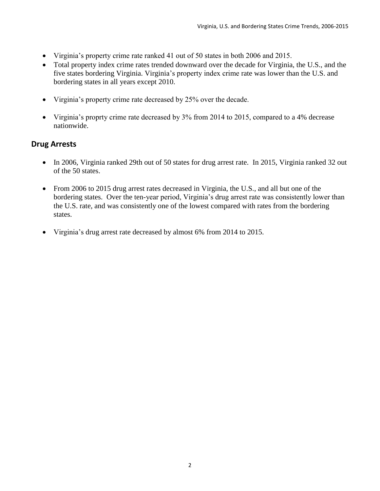- Virginia's property crime rate ranked 41 out of 50 states in both 2006 and 2015.
- Total property index crime rates trended downward over the decade for Virginia, the U.S., and the five states bordering Virginia. Virginia's property index crime rate was lower than the U.S. and bordering states in all years except 2010.
- Virginia's property crime rate decreased by 25% over the decade.
- Virginia's proprty crime rate decreased by 3% from 2014 to 2015, compared to a 4% decrease nationwide.

#### **Drug Arrests**

- In 2006, Virginia ranked 29th out of 50 states for drug arrest rate. In 2015, Virginia ranked 32 out of the 50 states.
- From 2006 to 2015 drug arrest rates decreased in Virginia, the U.S., and all but one of the bordering states. Over the ten-year period, Virginia's drug arrest rate was consistently lower than the U.S. rate, and was consistently one of the lowest compared with rates from the bordering states.
- Virginia's drug arrest rate decreased by almost 6% from 2014 to 2015.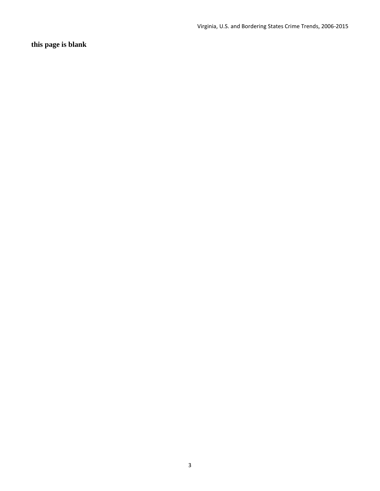**this page is blank**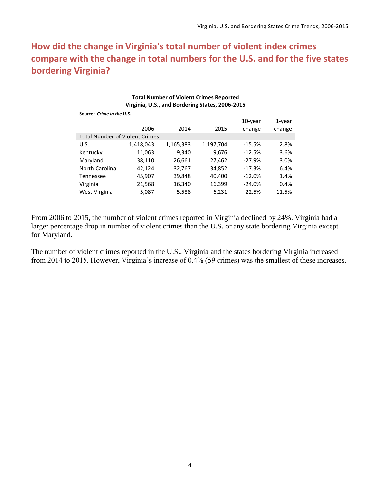# **How did the change in Virginia's total number of violent index crimes compare with the change in total numbers for the U.S. and for the five states bordering Virginia?**

#### **Total Number of Violent Crimes Reported Virginia, U.S., and Bordering States, 2006-2015**

| Source: Crime in the U.S.             |           |           |           |          |           |  |  |  |
|---------------------------------------|-----------|-----------|-----------|----------|-----------|--|--|--|
|                                       |           |           |           | 10-year  | $1$ -year |  |  |  |
|                                       | 2006      | 2014      | 2015      | change   | change    |  |  |  |
| <b>Total Number of Violent Crimes</b> |           |           |           |          |           |  |  |  |
| U.S.                                  | 1,418,043 | 1,165,383 | 1,197,704 | $-15.5%$ | 2.8%      |  |  |  |
| Kentucky                              | 11,063    | 9,340     | 9,676     | $-12.5%$ | 3.6%      |  |  |  |
| Maryland                              | 38,110    | 26,661    | 27,462    | $-27.9%$ | 3.0%      |  |  |  |
| North Carolina                        | 42,124    | 32,767    | 34,852    | $-17.3%$ | 6.4%      |  |  |  |
| Tennessee                             | 45,907    | 39,848    | 40,400    | $-12.0%$ | 1.4%      |  |  |  |
| Virginia                              | 21,568    | 16,340    | 16,399    | $-24.0%$ | 0.4%      |  |  |  |
| West Virginia                         | 5,087     | 5,588     | 6,231     | 22.5%    | 11.5%     |  |  |  |

From 2006 to 2015, the number of violent crimes reported in Virginia declined by 24%. Virginia had a larger percentage drop in number of violent crimes than the U.S. or any state bordering Virginia except for Maryland.

The number of violent crimes reported in the U.S., Virginia and the states bordering Virginia increased from 2014 to 2015. However, Virginia's increase of 0.4% (59 crimes) was the smallest of these increases.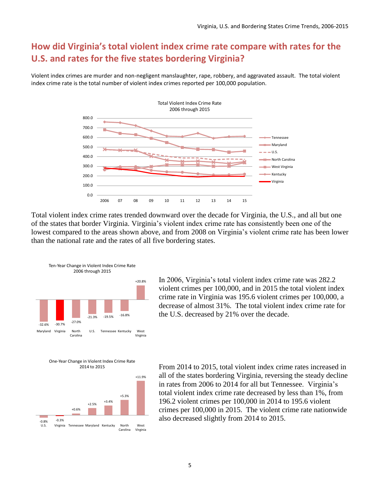# **How did Virginia's total violent index crime rate compare with rates for the U.S. and rates for the five states bordering Virginia?**

Violent index crimes are murder and non-negligent manslaughter, rape, robbery, and aggravated assault. The total violent index crime rate is the total number of violent index crimes reported per 100,000 population.



Total violent index crime rates trended downward over the decade for Virginia, the U.S., and all but one of the states that border Virginia. Virginia's violent index crime rate has consistently been one of the lowest compared to the areas shown above, and from 2008 on Virginia's violent crime rate has been lower than the national rate and the rates of all five bordering states.



Ten-Year Change in Violent Index Crime Rate





In 2006, Virginia's total violent index crime rate was 282.2 violent crimes per 100,000, and in 2015 the total violent index crime rate in Virginia was 195.6 violent crimes per 100,000, a decrease of almost 31%. The total violent index crime rate for the U.S. decreased by 21% over the decade.

From 2014 to 2015, total violent index crime rates increased in all of the states bordering Virginia, reversing the steady decline in rates from 2006 to 2014 for all but Tennessee. Virginia's total violent index crime rate decreased by less than 1%, from 196.2 violent crimes per 100,000 in 2014 to 195.6 violent crimes per 100,000 in 2015. The violent crime rate nationwide also decreased slightly from 2014 to 2015.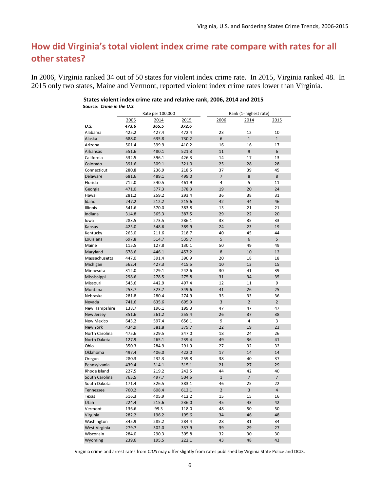### **How did Virginia's total violent index crime rate compare with rates for all other states?**

In 2006, Virginia ranked 34 out of 50 states for violent index crime rate. In 2015, Virginia ranked 48. In 2015 only two states, Maine and Vermont, reported violent index crime rates lower than Virginia.

|                | Rate per 100,000 |               |       | Rank (1=highest rate) |                |                |
|----------------|------------------|---------------|-------|-----------------------|----------------|----------------|
|                | 2006             | <u> 2014 </u> | 2015  | 2006                  | 2014           | 2015           |
| U.S.           | 473.6            | 365.5         | 372.6 |                       |                |                |
| Alabama        | 425.2            | 427.4         | 472.4 | 23                    | 12             | 10             |
| Alaska         | 688.0            | 635.8         | 730.2 | 6                     | $\mathbf{1}$   | $\mathbf{1}$   |
| Arizona        | 501.4            | 399.9         | 410.2 | 16                    | 16             | 17             |
| Arkansas       | 551.6            | 480.1         | 521.3 | 11                    | 9              | 6              |
| California     | 532.5            | 396.1         | 426.3 | 14                    | 17             | 13             |
| Colorado       | 391.6            | 309.1         | 321.0 | 25                    | 28             | 28             |
| Connecticut    | 280.8            | 236.9         | 218.5 | 37                    | 39             | 45             |
| Delaware       | 681.6            | 489.1         | 499.0 | 7                     | 8              | 8              |
| Florida        | 712.0            | 540.5         | 461.9 | 4                     | 5              | 11             |
| Georgia        | 471.0            | 377.3         | 378.3 | 19                    | 20             | 24             |
| Hawaii         | 281.2            | 259.2         | 293.4 | 36                    | 38             | 31             |
| Idaho          | 247.2            | 212.2         | 215.6 | 42                    | 44             | 46             |
| Illinois       | 541.6            | 370.0         | 383.8 | 13                    | 21             | 21             |
| Indiana        | 314.8            | 365.3         | 387.5 | 29                    | 22             | 20             |
| lowa           | 283.5            | 273.5         | 286.1 | 33                    | 35             | 33             |
| Kansas         | 425.0            | 348.6         | 389.9 | 24                    | 23             | 19             |
| Kentucky       | 263.0            | 211.6         | 218.7 | 40                    | 45             | 44             |
| Louisiana      | 697.8            | 514.7         | 539.7 | 5                     | 6              | 5              |
| Maine          | 115.5            | 127.8         | 130.1 | 50                    | 49             | 49             |
| Maryland       | 678.6            | 446.1         | 457.2 | 8                     | 10             | 12             |
| Massachusetts  | 447.0            | 391.4         | 390.9 | 20                    | 18             | 18             |
| Michigan       | 562.4            | 427.3         | 415.5 | 10                    | 13             | 15             |
| Minnesota      | 312.0            | 229.1         | 242.6 | 30                    | 41             | 39             |
| Mississippi    | 298.6            | 278.5         | 275.8 | 31                    | 34             | 35             |
| Missouri       | 545.6            | 442.9         | 497.4 | 12                    | 11             | 9              |
| Montana        | 253.7            | 323.7         | 349.6 | 41                    | 26             | 25             |
| Nebraska       | 281.8            | 280.4         | 274.9 | 35                    | 33             | 36             |
| Nevada         | 741.6            | 635.6         | 695.9 | 3                     | $\overline{2}$ | $\overline{2}$ |
| New Hampshire  | 138.7            | 196.1         | 199.3 | 47                    | 47             | 47             |
| New Jersey     | 351.6            | 261.2         | 255.4 | 26                    | 37             | 38             |
| New Mexico     | 643.2            | 597.4         | 656.1 | 9                     | 4              | 3              |
| New York       | 434.9            | 381.8         | 379.7 | 22                    | 19             | 23             |
| North Carolina | 475.6            | 329.5         | 347.0 | 18                    | 24             | 26             |
| North Dakota   | 127.9            | 265.1         | 239.4 | 49                    | 36             | 41             |
| Ohio           | 350.3            | 284.9         | 291.9 | 27                    | 32             | 32             |
| Oklahoma       | 497.4            | 406.0         | 422.0 | 17                    | 14             | 14             |
| Oregon         | 280.3            | 232.3         | 259.8 | 38                    | 40             | 37             |
| Pennsylvania   | 439.4            | 314.1         | 315.1 | 21                    | 27             | 29             |
| Rhode Island   | 227.5            | 219.2         | 242.5 | 44                    | 42             | 40             |
| South Carolina | 765.5            | 497.7         | 504.5 | $\mathbf{1}$          | $\overline{7}$ | 7              |
| South Dakota   | 171.4            | 326.5         | 383.1 | 46                    | 25             | 22             |
| Tennessee      | 760.2            | 608.4         | 612.1 | $\overline{2}$        | 3              | 4              |
| Texas          | 516.3            | 405.9         | 412.2 | 15                    | 15             | 16             |
| Utah           | 224.4            | 215.6         | 236.0 | 45                    | 43             | 42             |
| Vermont        | 136.6            | 99.3          | 118.0 | 48                    | 50             | 50             |
| Virginia       | 282.2            | 196.2         | 195.6 | 34                    | 46             | 48             |
| Washington     | 345.9            | 285.2         | 284.4 | 28                    | 31             | 34             |
| West Virginia  | 279.7            | 302.0         | 337.9 | 39                    | 29             | 27             |
| Wisconsin      | 284.0            | 290.3         | 305.8 | 32                    | 30             | 30             |
| Wyoming        | 239.6            | 195.5         | 222.1 | 43                    | 48             | 43             |

#### **States violent index crime rate and relative rank, 2006, 2014 and 2015 Source:** *Crime in the U.S.*

Virginia crime and arrest rates from *CIUS* may differ slightly from rates published by Virginia State Police and DCJS.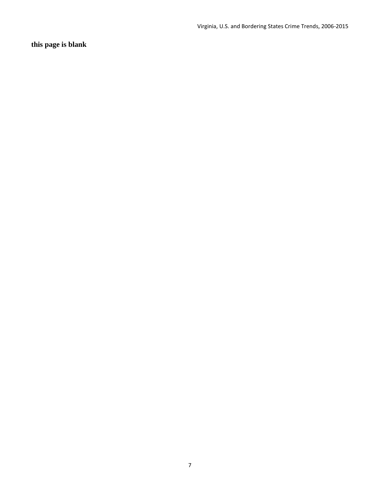**this page is blank**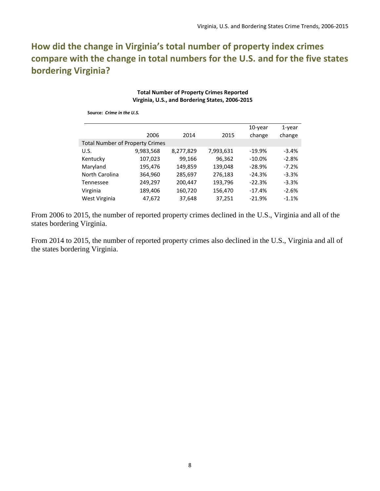# **How did the change in Virginia's total number of property index crimes compare with the change in total numbers for the U.S. and for the five states bordering Virginia?**

#### **Total Number of Property Crimes Reported Virginia, U.S., and Bordering States, 2006-2015**

| Source: Crime in the U.S.              |           |           |           |          |           |  |  |  |  |
|----------------------------------------|-----------|-----------|-----------|----------|-----------|--|--|--|--|
|                                        |           |           |           | 10-year  | $1$ -year |  |  |  |  |
|                                        | 2006      | 2014      | 2015      | change   | change    |  |  |  |  |
| <b>Total Number of Property Crimes</b> |           |           |           |          |           |  |  |  |  |
| U.S.                                   | 9,983,568 | 8,277,829 | 7,993,631 | $-19.9%$ | $-3.4%$   |  |  |  |  |
| Kentucky                               | 107,023   | 99,166    | 96,362    | $-10.0%$ | $-2.8%$   |  |  |  |  |
| Maryland                               | 195,476   | 149,859   | 139,048   | $-28.9%$ | $-7.2%$   |  |  |  |  |
| North Carolina                         | 364,960   | 285,697   | 276,183   | $-24.3%$ | $-3.3%$   |  |  |  |  |
| Tennessee                              | 249,297   | 200,447   | 193,796   | $-22.3%$ | $-3.3%$   |  |  |  |  |
| Virginia                               | 189,406   | 160,720   | 156,470   | $-17.4%$ | $-2.6%$   |  |  |  |  |
| West Virginia                          | 47,672    | 37,648    | 37,251    | $-21.9%$ | $-1.1%$   |  |  |  |  |

From 2006 to 2015, the number of reported property crimes declined in the U.S., Virginia and all of the states bordering Virginia.

From 2014 to 2015, the number of reported property crimes also declined in the U.S., Virginia and all of the states bordering Virginia.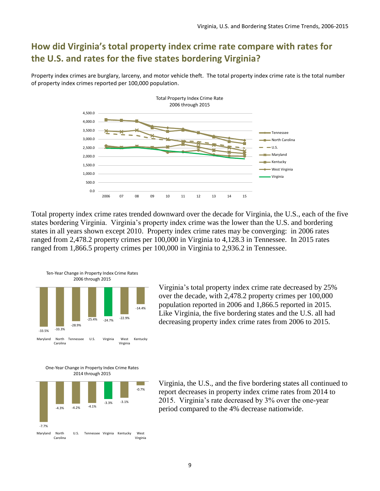# **How did Virginia's total property index crime rate compare with rates for the U.S. and rates for the five states bordering Virginia?**

Property index crimes are burglary, larceny, and motor vehicle theft. The total property index crime rate is the total number of property index crimes reported per 100,000 population.



Total property index crime rates trended downward over the decade for Virginia, the U.S., each of the five states bordering Virginia. Virginia's property index crime was the lower than the U.S. and bordering states in all years shown except 2010. Property index crime rates may be converging: in 2006 rates ranged from 2,478.2 property crimes per 100,000 in Virginia to 4,128.3 in Tennessee. In 2015 rates ranged from 1,866.5 property crimes per 100,000 in Virginia to 2,936.2 in Tennessee.



Virginia's total property index crime rate decreased by 25% over the decade, with 2,478.2 property crimes per 100,000 population reported in 2006 and 1,866.5 reported in 2015. Like Virginia, the five bordering states and the U.S. all had decreasing property index crime rates from 2006 to 2015.

One-Year Change in Property Index Crime Rates 2014 through 2015



Virginia, the U.S., and the five bordering states all continued to report decreases in property index crime rates from 2014 to 2015. Virginia's rate decreased by 3% over the one-year period compared to the 4% decrease nationwide.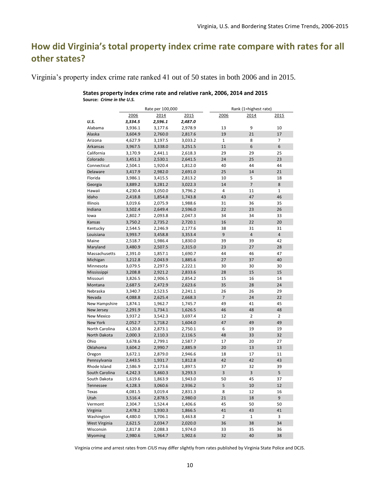### **How did Virginia's total property index crime rate compare with rates for all other states?**

Virginia's property index crime rate ranked 41 out of 50 states in both 2006 and in 2015.

|                | 2006    | Rate per 100,000 | 2015               | 2006             | Rank (1=highest rate)<br>2014 | 2015           |
|----------------|---------|------------------|--------------------|------------------|-------------------------------|----------------|
| U.S.           | 3,334.5 | 2014<br>2,596.1  | 2,487.0            |                  |                               |                |
| Alabama        | 3,936.1 | 3,177.6          | 2,978.9            | 13               | 9                             | 10             |
| Alaska         |         | 2,760.0          |                    | 19               | 21                            | 17             |
| Arizona        | 3,604.9 | 3,197.5          | 2,817.6            | $\mathbf{1}$     | 8                             | $\overline{7}$ |
| Arkansas       | 4,627.9 |                  | 3,033.2<br>3,251.5 | 11               | 6                             | 6              |
| California     | 3,967.5 | 3,338.0          |                    | 29               | 29                            | 25             |
| Colorado       | 3,170.9 | 2,441.1          | 2,618.3            | 24               | 25                            | 23             |
| Connecticut    | 3,451.3 | 2,530.1          | 2,641.5            | 40               | 44                            | 44             |
| Delaware       | 2,504.1 | 1,920.4          | 1,812.0            | 25               | 14                            | 21             |
|                | 3,417.9 | 2,982.0          | 2,691.0            |                  |                               |                |
| Florida        | 3,986.1 | 3,415.5          | 2,813.2            | 10               | 5<br>$\overline{7}$           | 18             |
| Georgia        | 3,889.2 | 3,281.2          | 3,022.3            | 14               |                               | 8              |
| Hawaii         | 4,230.4 | 3,050.0          | 3,796.2            | 4                | 11                            | $\mathbf{1}$   |
| Idaho          | 2,418.8 | 1,854.8          | 1,743.8            | 43               | 47                            | 46             |
| Illinois       | 3,019.6 | 2,075.9          | 1,988.6            | 31               | 36                            | 35             |
| Indiana        | 3,502.4 | 2,649.4          | 2,596.0            | 22               | 23                            | 26             |
| lowa           | 2,802.7 | 2,093.8          | 2,047.3            | 34               | 34                            | 33             |
| Kansas         | 3,750.2 | 2,735.2          | 2,720.1            | 16               | 22                            | 20             |
| Kentucky       | 2,544.5 | 2,246.9          | 2,177.6            | 38               | 31                            | 31             |
| Louisiana      | 3,993.7 | 3,458.8          | 3,353.4            | $\boldsymbol{9}$ | $\overline{4}$                | $\overline{4}$ |
| Maine          | 2,518.7 | 1,986.4          | 1,830.0            | 39               | 39                            | 42             |
| Maryland       | 3,480.9 | 2,507.5          | 2,315.0            | 23               | 27                            | 28             |
| Massachusetts  | 2,391.0 | 1,857.1          | 1,690.7            | 44               | 46                            | 47             |
| Michigan       | 3,212.8 | 2,043.9          | 1,885.6            | 27               | 37                            | 40             |
| Minnesota      | 3,079.5 | 2,297.5          | 2,222.1            | 30               | 30                            | 30             |
| Mississippi    | 3,208.8 | 2,921.2          | 2,833.6            | 28               | 15                            | 15             |
| Missouri       | 3,826.5 | 2,906.5          | 2,854.2            | 15               | 16                            | 14             |
| Montana        | 2,687.5 | 2,472.9          | 2,623.6            | 35               | 28                            | 24             |
| Nebraska       | 3,340.7 | 2,523.5          | 2,241.1            | 26               | 26                            | 29             |
| Nevada         | 4,088.8 | 2,625.4          | 2,668.3            | $\overline{7}$   | 24                            | 22             |
| New Hampshire  | 1,874.1 | 1,962.7          | 1,745.7            | 49               | 41                            | 45             |
| New Jersey     | 2,291.9 | 1,734.1          | 1,626.5            | 46               | 48                            | 48             |
| New Mexico     | 3,937.2 | 3,542.3          | 3,697.4            | 12               | $\overline{2}$                | $\overline{2}$ |
| New York       | 2,052.7 | 1,718.2          | 1,604.0            | 47               | 49                            | 49             |
| North Carolina | 4,120.8 | 2,873.1          | 2,750.1            | 6                | 19                            | 19             |
| North Dakota   | 2,000.3 | 2,110.3          | 2,116.5            | 48               | 33                            | 32             |
| Ohio           | 3,678.6 | 2,799.1          | 2,587.7            | 17               | 20                            | 27             |
| Oklahoma       | 3,604.2 | 2,990.7          | 2,885.9            | 20               | 13                            | 13             |
| Oregon         | 3,672.1 | 2,879.0          | 2,946.6            | 18               | 17                            | 11             |
| Pennsylvania   | 2,443.5 | 1,931.7          | 1,812.8            | 42               | 42                            | 43             |
| Rhode Island   | 2,586.9 | 2,173.6          | 1,897.5            | 37               | 32                            | 39             |
| South Carolina | 4,242.3 | 3,460.3          | 3,293.3            | 3                | 3                             | 5              |
| South Dakota   | 1,619.6 | 1,863.9          | 1,943.0            | 50               | 45                            | 37             |
| Tennessee      | 4,128.3 | 3,060.6          | 2,936.2            | 5                | 10                            | 12             |
| Texas          | 4,081.5 | 3,019.4          | 2,831.3            | 8                | 12                            | 16             |
| Utah           | 3,516.4 | 2,878.5          | 2,980.0            | 21               | 18                            | 9              |
| Vermont        | 2,304.7 | 1,524.4          | 1,406.6            | 45               | 50                            | 50             |
| Virginia       | 2,478.2 | 1,930.3          | 1,866.5            | 41               | 43                            | 41             |
| Washington     | 4,480.0 | 3,706.1          | 3,463.8            | 2                | $\mathbf{1}$                  | 3              |
| West Virginia  | 2,621.5 | 2,034.7          | 2,020.0            | 36               | 38                            | 34             |
| Wisconsin      | 2,817.8 | 2,088.3          | 1,974.0            | 33               | 35                            | 36             |
| Wyoming        | 2,980.6 | 1,964.7          | 1,902.6            | 32               | 40                            | 38             |

#### **States property index crime rate and relative rank, 2006, 2014 and 2015 Source:** *Crime in the U.S.*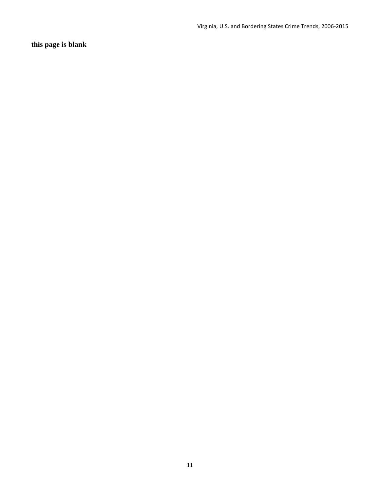**this page is blank**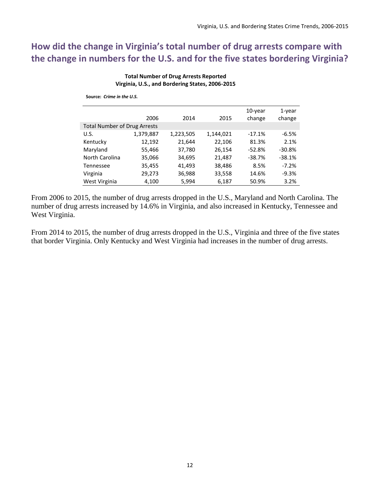### **How did the change in Virginia's total number of drug arrests compare with the change in numbers for the U.S. and for the five states bordering Virginia?**

|                                     |           |           |           | $10$ -year | $1$ -year |
|-------------------------------------|-----------|-----------|-----------|------------|-----------|
|                                     | 2006      | 2014      | 2015      | change     | change    |
| <b>Total Number of Drug Arrests</b> |           |           |           |            |           |
| U.S.                                | 1,379,887 | 1,223,505 | 1,144,021 | $-17.1%$   | $-6.5%$   |
| Kentucky                            | 12,192    | 21,644    | 22,106    | 81.3%      | 2.1%      |
| Maryland                            | 55,466    | 37,780    | 26,154    | $-52.8%$   | $-30.8%$  |
| North Carolina                      | 35,066    | 34,695    | 21,487    | $-38.7%$   | $-38.1%$  |
| <b>Tennessee</b>                    | 35,455    | 41,493    | 38,486    | 8.5%       | $-7.2%$   |
| Virginia                            | 29,273    | 36,988    | 33,558    | 14.6%      | $-9.3%$   |
| West Virginia                       | 4,100     | 5,994     | 6,187     | 50.9%      | 3.2%      |

#### **Total Number of Drug Arrests Reported Virginia, U.S., and Bordering States, 2006-2015**

**Source:** *Crime in the U.S.*

From 2006 to 2015, the number of drug arrests dropped in the U.S., Maryland and North Carolina. The number of drug arrests increased by 14.6% in Virginia, and also increased in Kentucky, Tennessee and West Virginia.

From 2014 to 2015, the number of drug arrests dropped in the U.S., Virginia and three of the five states that border Virginia. Only Kentucky and West Virginia had increases in the number of drug arrests.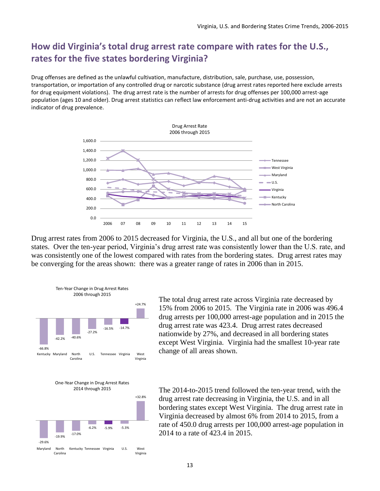### **How did Virginia's total drug arrest rate compare with rates for the U.S., rates for the five states bordering Virginia?**

Drug offenses are defined as the unlawful cultivation, manufacture, distribution, sale, purchase, use, possession, transportation, or importation of any controlled drug or narcotic substance (drug arrest rates reported here exclude arrests for drug equipment violations). The drug arrest rate is the number of arrests for drug offenses per 100,000 arrest-age population (ages 10 and older). Drug arrest statistics can reflect law enforcement anti-drug activities and are not an accurate indicator of drug prevalence.



Drug arrest rates from 2006 to 2015 decreased for Virginia, the U.S., and all but one of the bordering states. Over the ten-year period, Virginia's drug arrest rate was consistently lower than the U.S. rate, and was consistently one of the lowest compared with rates from the bordering states. Drug arrest rates may be converging for the areas shown: there was a greater range of rates in 2006 than in 2015.



Carolina

The total drug arrest rate across Virginia rate decreased by 15% from 2006 to 2015. The Virginia rate in 2006 was 496.4 drug arrests per 100,000 arrest-age population and in 2015 the drug arrest rate was 423.4. Drug arrest rates decreased nationwide by 27%, and decreased in all bordering states except West Virginia. Virginia had the smallest 10-year rate change of all areas shown.

The 2014-to-2015 trend followed the ten-year trend, with the drug arrest rate decreasing in Virginia, the U.S. and in all bordering states except West Virginia. The drug arrest rate in Virginia decreased by almost 6% from 2014 to 2015, from a rate of 450.0 drug arrests per 100,000 arrest-age population in 2014 to a rate of 423.4 in 2015.

Virginia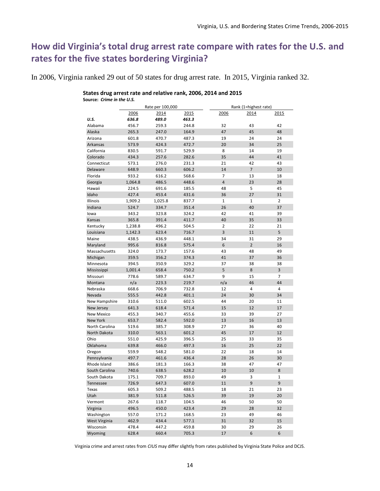### **How did Virginia's total drug arrest rate compare with rates for the U.S. and rates for the five states bordering Virginia?**

In 2006, Virginia ranked 29 out of 50 states for drug arrest rate. In 2015, Virginia ranked 32.

#### **Source:** *Crime in the U.S.* Virginia crime and arrest rates from *CIUS* may differ slightly from rates published by Virginia State Police and DCJS. 2006 2014 2015 2006 2014 2015 *U.S. 636.8 489.0 463.3* Alabama 456.7 259.3 244.8 32 43 42 Alaska 265.3 247.0 164.9 47 45 48 Arizona 601.8 470.7 487.3 19 24 24 Arkansas 573.9 424.3 472.7 20 34 25 California 830.5 591.7 529.9 8 14 19 Colorado 434.3 257.6 282.6 35 44 41 Connecticut 573.1 276.0 231.3 21 42 43 Delaware 648.9 660.3 606.2 14 7 10 Florida 933.2 616.2 568.6 7 13 18 Georgia 1,064.8 486.5 448.6 4 23 28 Hawaii 224.5 691.6 185.5 48 5 45 Idaho 427.4 453.4 431.6 36 27 31 Illinois 1,909.2 1,025.8 837.7 1 1 2 Indiana 524.7 334.7 351.4 26 40 37 Iowa 343.2 323.8 324.2 42 41 39 Kansas 365.8 391.4 411.7 40 35 33 Kentucky 1,238.8 496.2 504.5 2 22 22 Louisiana 1,142.3 623.4 716.7 3 11 5 Maine 438.5 436.9 448.1 34 31 29 Maryland 995.6 816.8 575.4 6 2 16 Massachusetts 324.0 173.7 157.6 43 48 49 Michigan 359.5 356.2 374.3 41 37 36 Minnesota 394.5 350.9 329.2 37 38 38 Mississippi 1,001.4 658.4 750.2 5 8 3 Missouri 778.6 589.7 634.7 9 15 7 Montana n/a 223.3 219.7 n/a 46 44 Nebraska 668.6 706.9 732.8 12 4 4 Nevada 555.5 442.8 401.1 24 30 34 New Hampshire 310.6 511.0 602.5 44 20 11 New Jersey 641.3 618.4 571.4 15 12 17 New Mexico 455.3 450.7 455.6 33 39 27 New York 653.7 582.4 592.0 13 16 13 North Carolina 519.6 385.7 308.9 27 36 40 North Dakota 310.0 563.1 601.2 45 17 12 Ohio 551.0 425.9 396.5 25 33 35 Oklahoma 639.8 466.0 497.3 16 25 22 Oregon 559.9 548.2 581.0 22 18 14 Pennsylvania 497.7 461.6 436.4 28 26 30 Rhode Island 386.6 181.3 166.3 38 47 47 South Carolina 740.6 638.5 628.2 10 10 8 South Dakota 175.1 709.7 893.0 49 3 1 Tennessee 726.9 647.3 607.0 11 9 9 Texas 605.3 509.2 488.5 18 21 23 Utah 381.9 511.8 526.5 39 19 20 Vermont 267.6 118.7 104.5 46 50 50 Virginia 496.5 450.0 423.4 29 28 32 Washington 557.0 171.2 168.5 23 49 46 West Virginia 462.9 434.4 577.1 31 32 15 Wisconsin 478.4 447.2 459.8 30 29 26 Rate per 100,000 Rank (1=highest rate)

### **States drug arrest rate and relative rank, 2006, 2014 and 2015**

Wyoming 628.4 660.4 705.3 17 6 6